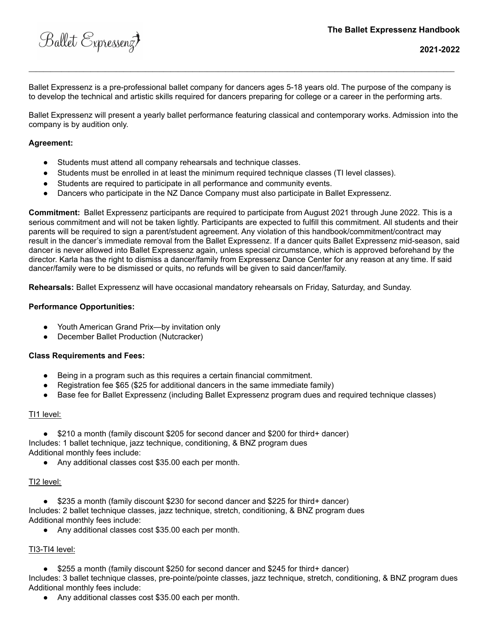Ballet Expressenz

Ballet Expressenz is a pre-professional ballet company for dancers ages 5-18 years old. The purpose of the company is to develop the technical and artistic skills required for dancers preparing for college or a career in the performing arts.

**\_\_\_\_\_\_\_\_\_\_\_\_\_\_\_\_\_\_\_\_\_\_\_\_\_\_\_\_\_\_\_\_\_\_\_\_\_\_\_\_\_\_\_\_\_\_\_\_\_\_\_\_\_\_\_\_\_\_\_\_\_\_\_\_\_\_\_\_\_\_\_\_\_\_\_\_\_\_\_\_\_\_\_\_\_\_\_\_\_\_\_\_\_\_\_\_\_\_\_\_\_\_\_\_\_\_\_\_\_\_\_\_\_\_\_\_\_**

Ballet Expressenz will present a yearly ballet performance featuring classical and contemporary works. Admission into the company is by audition only.

## **Agreement:**

- Students must attend all company rehearsals and technique classes.
- Students must be enrolled in at least the minimum required technique classes (TI level classes).
- Students are required to participate in all performance and community events.
- Dancers who participate in the NZ Dance Company must also participate in Ballet Expressenz.

**Commitment:** Ballet Expressenz participants are required to participate from August 2021 through June 2022. This is a serious commitment and will not be taken lightly. Participants are expected to fulfill this commitment. All students and their parents will be required to sign a parent/student agreement. Any violation of this handbook/commitment/contract may result in the dancer's immediate removal from the Ballet Expressenz. If a dancer quits Ballet Expressenz mid-season, said dancer is never allowed into Ballet Expressenz again, unless special circumstance, which is approved beforehand by the director. Karla has the right to dismiss a dancer/family from Expressenz Dance Center for any reason at any time. If said dancer/family were to be dismissed or quits, no refunds will be given to said dancer/family.

**Rehearsals:** Ballet Expressenz will have occasional mandatory rehearsals on Friday, Saturday, and Sunday.

#### **Performance Opportunities:**

- Youth American Grand Prix—by invitation only
- December Ballet Production (Nutcracker)

#### **Class Requirements and Fees:**

- Being in a program such as this requires a certain financial commitment.
- Registration fee  $$65$  ( $$25$  for additional dancers in the same immediate family)
- Base fee for Ballet Expressenz (including Ballet Expressenz program dues and required technique classes)

#### TI1 level:

- \$210 a month (family discount \$205 for second dancer and \$200 for third+ dancer) Includes: 1 ballet technique, jazz technique, conditioning, & BNZ program dues Additional monthly fees include:
	- Any additional classes cost \$35.00 each per month.

## TI2 level:

- \$235 a month (family discount \$230 for second dancer and \$225 for third+ dancer) Includes: 2 ballet technique classes, jazz technique, stretch, conditioning, & BNZ program dues Additional monthly fees include:
	- Any additional classes cost \$35.00 each per month.

# TI3-TI4 level:

● \$255 a month (family discount \$250 for second dancer and \$245 for third+ dancer)

Includes: 3 ballet technique classes, pre-pointe/pointe classes, jazz technique, stretch, conditioning, & BNZ program dues Additional monthly fees include:

Any additional classes cost \$35.00 each per month.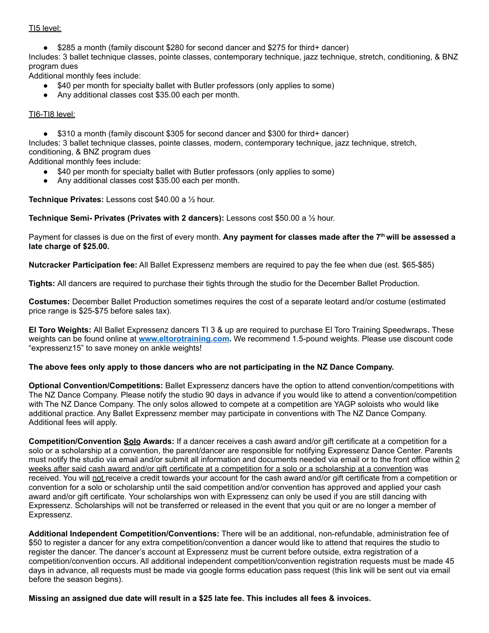## TI5 level:

● \$285 a month (family discount \$280 for second dancer and \$275 for third+ dancer)

Includes: 3 ballet technique classes, pointe classes, contemporary technique, jazz technique, stretch, conditioning, & BNZ program dues

Additional monthly fees include:

- \$40 per month for specialty ballet with Butler professors (only applies to some)
- Any additional classes cost \$35.00 each per month.

## TI6-TI8 level:

● \$310 a month (family discount \$305 for second dancer and \$300 for third+ dancer)

Includes: 3 ballet technique classes, pointe classes, modern, contemporary technique, jazz technique, stretch, conditioning, & BNZ program dues

Additional monthly fees include:

- \$40 per month for specialty ballet with Butler professors (only applies to some)
- Any additional classes cost \$35.00 each per month.

**Technique Privates:** Lessons cost \$40.00 a ½ hour.

**Technique Semi- Privates (Privates with 2 dancers):** Lessons cost \$50.00 a ½ hour.

Payment for classes is due on the first of every month. **Any payment for classes made after the 7 th will be assessed a late charge of \$25.00.**

**Nutcracker Participation fee:** All Ballet Expressenz members are required to pay the fee when due (est. \$65-\$85)

**Tights:** All dancers are required to purchase their tights through the studio for the December Ballet Production.

**Costumes:** December Ballet Production sometimes requires the cost of a separate leotard and/or costume (estimated price range is \$25-\$75 before sales tax).

**El Toro Weights:** All Ballet Expressenz dancers TI 3 & up are required to purchase El Toro Training Speedwraps**.** These weights can be found online at **[www.eltorotraining.com](http://www.eltorotraining.com).** We recommend 1.5-pound weights. Please use discount code "expressenz15" to save money on ankle weights!

#### **The above fees only apply to those dancers who are not participating in the NZ Dance Company.**

**Optional Convention/Competitions:** Ballet Expressenz dancers have the option to attend convention/competitions with The NZ Dance Company. Please notify the studio 90 days in advance if you would like to attend a convention/competition with The NZ Dance Company. The only solos allowed to compete at a competition are YAGP soloists who would like additional practice. Any Ballet Expressenz member may participate in conventions with The NZ Dance Company. Additional fees will apply.

**Competition/Convention Solo Awards:** If a dancer receives a cash award and/or gift certificate at a competition for a solo or a scholarship at a convention, the parent/dancer are responsible for notifying Expressenz Dance Center. Parents must notify the studio via email and/or submit all information and documents needed via email or to the front office within 2 weeks after said cash award and/or gift certificate at a competition for a solo or a scholarship at a convention was received. You will not receive a credit towards your account for the cash award and/or gift certificate from a competition or convention for a solo or scholarship until the said competition and/or convention has approved and applied your cash award and/or gift certificate. Your scholarships won with Expressenz can only be used if you are still dancing with Expressenz. Scholarships will not be transferred or released in the event that you quit or are no longer a member of Expressenz.

**Additional Independent Competition/Conventions:** There will be an additional, non-refundable, administration fee of \$50 to register a dancer for any extra competition/convention a dancer would like to attend that requires the studio to register the dancer. The dancer's account at Expressenz must be current before outside, extra registration of a competition/convention occurs. All additional independent competition/convention registration requests must be made 45 days in advance, all requests must be made via google forms education pass request (this link will be sent out via email before the season begins).

**Missing an assigned due date will result in a \$25 late fee. This includes all fees & invoices.**